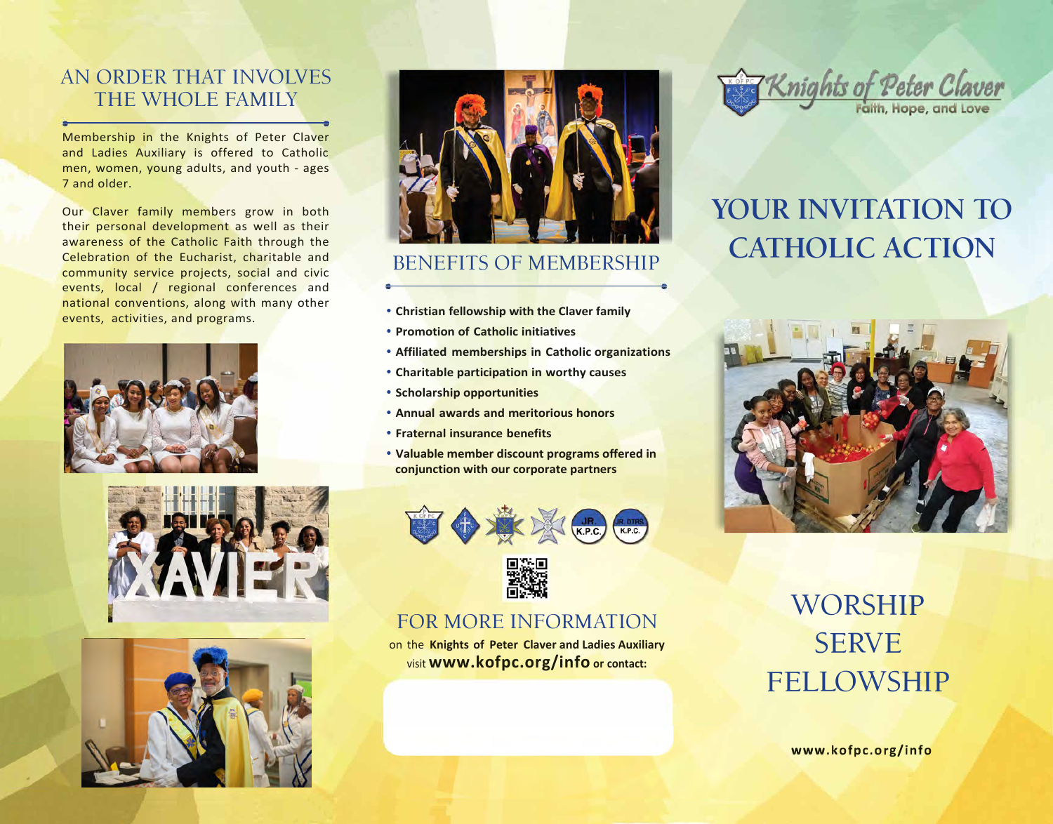### AN ORDER THAT INVOLVES THE WHOLE FAMILY

∸

Membership in the Knights of Peter Claver and Ladies Auxiliary is offered to Catholic men, women, young adults, and youth - ages 7 and older.

Our Claver family members grow in both their personal development as well as their awareness of the Catholic Faith through the Celebration of the Eucharist, charitable and community service projects, social and civic events, local / regional conferences and national conventions, along with many other events, activities, and programs.









### BENEFITS OF MEMBERSHIP

- **• Christian fellowship with the Claver family**
- **• Promotion of Catholic initiatives**
- **• Affiliated memberships in Catholic organizations**
- **• Charitable participation in worthy causes**
- **• Scholarship opportunities**
- **• Annual awards and meritorious honors**
- **• Fraternal insurance benefits**
- **• Valuable member discount programs offered in conjunction with our corporate partners**





### FOR MORE INFORMATION

on the **Knights of Peter Claver and Ladies Auxiliary** visit **www.kofpc.org/info or contact:**



# **YOUR INVITATION TO CATHOLIC ACTION**



## WORSHIP SERVE FELLOWSHIP

**www.kofpc.org/info**